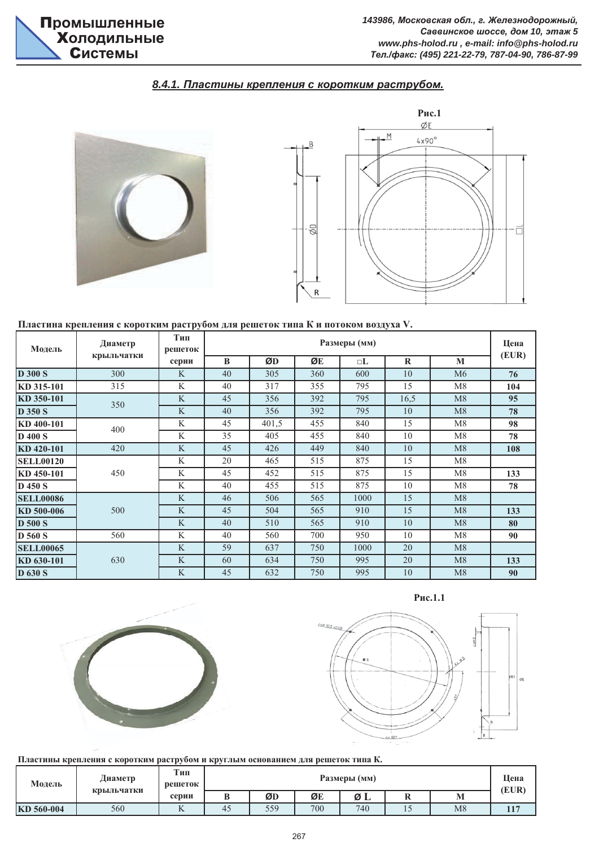## $8.4.1.$  Пластины крепления с коротким раструбом.



#### Пластина крепления с коротким раструбом для решеток типа К и потоком воздуха V.

| Модель           | Диаметр    | Тип<br>решеток |    |       | Цена<br>(EUR) |        |          |    |     |
|------------------|------------|----------------|----|-------|---------------|--------|----------|----|-----|
|                  | крыльчатки | серии          | B  | ØD    | ØE            | $\Box$ | $\bf{R}$ | M  |     |
| <b>D 300 S</b>   | 300        | K              | 40 | 305   | 360           | 600    | 10       | M6 | 76  |
| KD 315-101       | 315        | K              | 40 | 317   | 355           | 795    | 15       | M8 | 104 |
| KD 350-101       | 350        | K              | 45 | 356   | 392           | 795    | 16,5     | M8 | 95  |
| <b>D</b> 350 S   |            | K              | 40 | 356   | 392           | 795    | 10       | M8 | 78  |
| KD 400-101       | 400        | K              | 45 | 401,5 | 455           | 840    | 15       | M8 | 98  |
| <b>D</b> 400 S   |            | K              | 35 | 405   | 455           | 840    | 10       | M8 | 78  |
| KD 420-101       | 420        | K              | 45 | 426   | 449           | 840    | 10       | M8 | 108 |
| <b>SELL00120</b> |            | K              | 20 | 465   | 515           | 875    | 15       | M8 |     |
| KD 450-101       | 450        | K              | 45 | 452   | 515           | 875    | 15       | M8 | 133 |
| <b>D</b> 450 S   |            | K              | 40 | 455   | 515           | 875    | 10       | M8 | 78  |
| <b>SELL00086</b> |            | K              | 46 | 506   | 565           | 1000   | 15       | M8 |     |
| KD 500-006       | 500        | K              | 45 | 504   | 565           | 910    | 15       | M8 | 133 |
| <b>D</b> 500 S   |            | K              | 40 | 510   | 565           | 910    | 10       | M8 | 80  |
| <b>D</b> 560 S   | 560        | K              | 40 | 560   | 700           | 950    | 10       | M8 | 90  |
| <b>SELL00065</b> |            | K              | 59 | 637   | 750           | 1000   | 20       | M8 |     |
| KD 630-101       | 630        | K              | 60 | 634   | 750           | 995    | 20       | M8 | 133 |
| <b>D</b> 630 S   |            | K              | 45 | 632   | 750           | 995    | 10       | M8 | 90  |







Пластины крепления с коротким раструбом и круглым основанием для решеток типа К.

| Модель     | Диаметр<br>крыльчатки | Тип<br>решеток | Размеры (мм) |     |     |     |     |    |       |
|------------|-----------------------|----------------|--------------|-----|-----|-----|-----|----|-------|
|            |                       | серии          | U            | ØD  | ØE  | ØΙ  | -   | M  | (EUR) |
| KD 560-004 | 560                   | A.             | 45           | 559 | 700 | 740 | ⊥ ~ | M8 |       |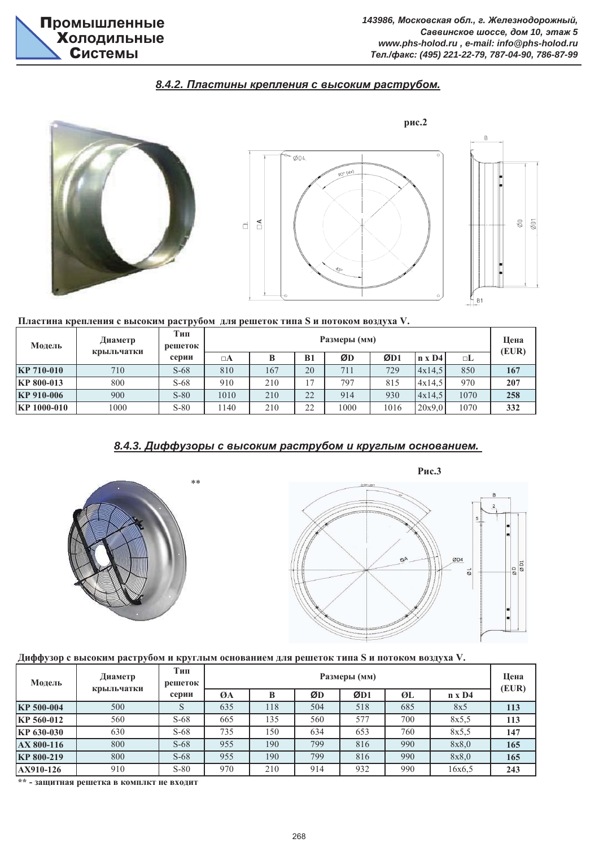## $8.4.2$ . Пластины крепления с высоким раструбом.



#### Пластина крепления с высоким раструбом для решеток типа S и потоком воздуха V.

| Модель            | Диаметр    | Тип<br>решеток | Размеры (мм) |     |                |      |      |            |      | Цена<br>(EUR) |
|-------------------|------------|----------------|--------------|-----|----------------|------|------|------------|------|---------------|
|                   | крыльчатки | серии          | $\Box A$     |     | B1             | ØD   | ØD1  | $\ln x$ D4 | □L   |               |
| <b>KP 710-010</b> | 710        | $S-68$         | 810          | 167 | 20             | 711  | 729  | 4x14.5     | 850  | 167           |
| <b>KP 800-013</b> | 800        | $S-68$         | 910          | 210 | 1 <sub>7</sub> | 797  | 815  | 4x14,5     | 970  | 207           |
| KP 910-006        | 900        | $S-80$         | 1010         | 210 | 22             | 914  | 930  | 4x14.5     | 1070 | 258           |
| KP 1000-010       | 1000       | $S-80$         | 140          | 210 | 22             | 1000 | 1016 | 20x9.0     | 1070 | 332           |

## $8.4.3.$  Диффузоры с высоким раструбом и круглым основанием.





#### Диффузор с высоким раструбом и круглым основанием для решеток типа S и потоком воздуха V.

| Модель     | Диаметр    | Тип<br>решеток | Размеры (мм) |     |     |     |     |               |       |  |
|------------|------------|----------------|--------------|-----|-----|-----|-----|---------------|-------|--|
|            | крыльчатки | серии          | ØA           |     | ØD  | ØD1 | ØL  | $n \times D4$ | (EUR) |  |
| KP 500-004 | 500        |                | 635          | 118 | 504 | 518 | 685 | 8x5           | 113   |  |
| KP 560-012 | 560        | $S-68$         | 665          | 135 | 560 | 577 | 700 | 8x5.5         | 113   |  |
| KP 630-030 | 630        | $S-68$         | 735          | 150 | 634 | 653 | 760 | 8x5.5         | 147   |  |
| AX 800-116 | 800        | $S-68$         | 955          | 190 | 799 | 816 | 990 | 8x8,0         | 165   |  |
| KP 800-219 | 800        | $S-68$         | 955          | 190 | 799 | 816 | 990 | 8x8,0         | 165   |  |
| AX910-126  | 910        | $S-80$         | 970          | 210 | 914 | 932 | 990 | 16x6,5        | 243   |  |

\*\* - защитная решетка в комплкт не входит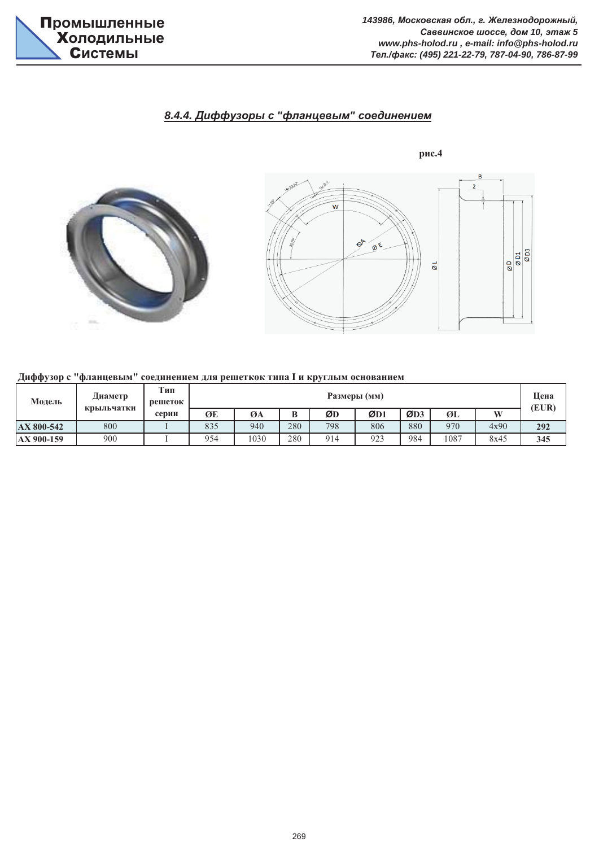# $8.4.4.$  Диффузоры с "фланцевым" соединением



## Диффузор с "фланцевым" соединением для решеткок типа I и круглым основанием

| Модель     | Диаметр<br>крыльчатки | Тип<br>решеток | Размеры (мм) |      |     |     |     |     |      |      |       |
|------------|-----------------------|----------------|--------------|------|-----|-----|-----|-----|------|------|-------|
|            |                       | серии          | ØE           | ØA   | B   | ØD  | ØD1 | ØD3 | ØL   | W    | (EUR) |
| AX 800-542 | 800                   |                | 835          | 940  | 280 | 798 | 806 | 880 | 970  | 4x90 | 292   |
| AX 900-159 | 900                   |                | 954          | 1030 | 280 | 914 | 923 | 984 | 1087 | 8x45 | 345   |